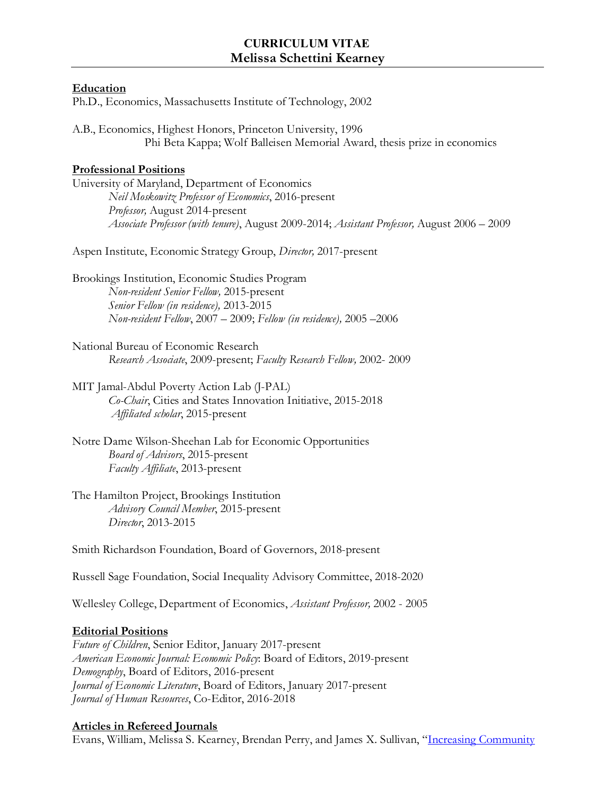### **Education**

Ph.D., Economics, Massachusetts Institute of Technology, 2002

A.B., Economics, Highest Honors, Princeton University, 1996 Phi Beta Kappa; Wolf Balleisen Memorial Award, thesis prize in economics

# **Professional Positions**

University of Maryland, Department of Economics *Neil Moskowitz Professor of Economics*, 2016-present *Professor,* August 2014-present *Associate Professor (with tenure)*, August 2009-2014; *Assistant Professor,* August 2006 – 2009

Aspen Institute, Economic Strategy Group, *Director,* 2017-present

Brookings Institution, Economic Studies Program *Non-resident Senior Fellow,* 2015-present *Senior Fellow (in residence),* 2013-2015 *Non-resident Fellow*, 2007 – 2009; *Fellow (in residence),* 2005 –2006

National Bureau of Economic Research *Research Associate*, 2009-present; *Faculty Research Fellow,* 2002- 2009

MIT Jamal-Abdul Poverty Action Lab (J-PAL)

*Co-Chair*, Cities and States Innovation Initiative, 2015-2018 *Affiliated scholar*, 2015-present

Notre Dame Wilson-Sheehan Lab for Economic Opportunities *Board of Advisors*, 2015-present *Faculty Affiliate*, 2013-present

The Hamilton Project, Brookings Institution *Advisory Council Member*, 2015-present *Director*, 2013-2015

Smith Richardson Foundation, Board of Governors, 2018-present

Russell Sage Foundation, Social Inequality Advisory Committee, 2018-2020

Wellesley College, Department of Economics, *Assistant Professor,* 2002 - 2005

# **Editorial Positions**

*Future of Children*, Senior Editor, January 2017-present *American Economic Journal: Economic Policy*: Board of Editors, 2019-present *Demography*, Board of Editors, 2016-present *Journal of Economic Literature*, Board of Editors, January 2017-present *Journal of Human Resources*, Co-Editor, 2016-2018

# **Articles in Refereed Journals**

Evans, William, Melissa S. Kearney, Brendan Perry, and James X. Sullivan, ["Increasing Community](http://www.nber.org/papers/w24150)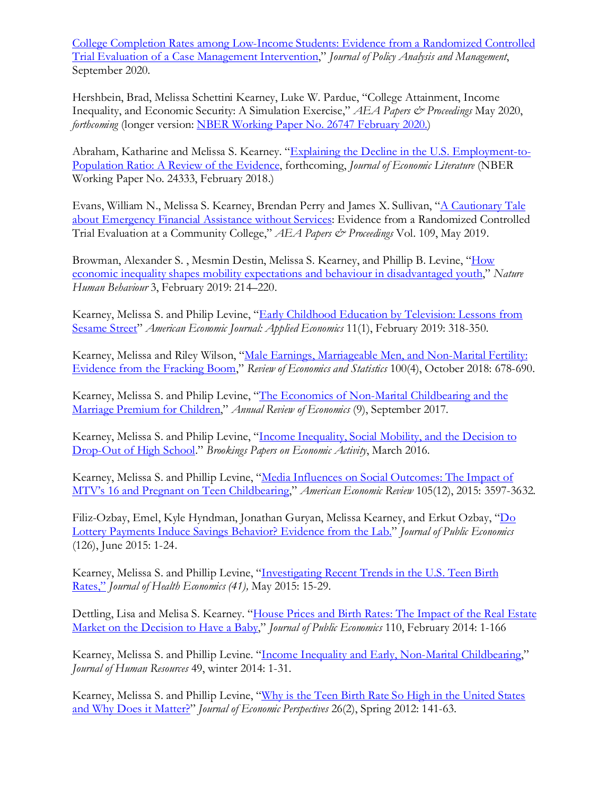[College Completion Rates among Low-Income Students: Evidence from a Randomized Controlled](http://www.nber.org/papers/w24150)  [Trial Evaluation of a Case Management Intervention,](http://www.nber.org/papers/w24150)" *Journal of Policy Analysis and Management*, September 2020.

[Hershbein,](https://www.nber.org/people/brad_hershbein) Brad, [Melissa Schettini Kearney,](https://www.nber.org/people/melissa_kearney) [Luke W. Pardue,](https://www.nber.org/people/lpardue) "College Attainment, Income Inequality, and Economic Security: A Simulation Exercise," *AEA Papers & Proceedings* May 2020, *forthcoming* (longer version[: NBER Working Paper No. 26747](https://www.nber.org/papers/w26747) February 2020.)

Abraham, Katharine and Melissa S. Kearney. ["Explaining the Decline in the U.S. Employment-to-](http://nber.org/papers/w24333)[Population Ratio: A Review of the Evidence,](http://nber.org/papers/w24333) forthcoming, *Journal of Economic Literature* (NBER Working Paper No. 24333, February 2018.)

Evans, William N., Melissa S. Kearney, Brendan Perry and James X. Sullivan, ["A Cautionary Tale](https://www.aeaweb.org/articles?id=10.1257/pandp.20191014)  [about Emergency Financial Assistance without Services:](https://www.aeaweb.org/articles?id=10.1257/pandp.20191014) Evidence from a Randomized Controlled Trial Evaluation at a Community College," *AEA Papers & Proceedings* Vol. 109, May 2019.

Browman, [Alexander S.](https://www.nature.com/articles/s41562-018-0523-0#auth-1) [, Mesmin Destin,](https://www.nature.com/articles/s41562-018-0523-0#auth-2) [Melissa S. Kearney,](https://www.nature.com/articles/s41562-018-0523-0#auth-3) and [Phillip B. Levine,](https://www.nature.com/articles/s41562-018-0523-0#auth-4) ["How](https://www.nature.com/articles/s41562-018-0523-0) [economic inequality shapes mobility expectations and behaviour in disadvantaged youth,](https://www.nature.com/articles/s41562-018-0523-0)" *Nature Human Behaviour* 3, February 2019: 214–220.

Kearney, Melissa S. and Philip Levine, "Early Childhood Education by Television: Lessons from [Sesame Street"](https://pubs.aeaweb.org/doi/pdfplus/10.1257/app.20170300) *American Economic Journal: Applied Economics* 11(1), February 2019: 318-350.

Kearney, Melissa and Riley Wilson, "Male Earnings, Marriageable [Men, and Non-Marital Fertility:](https://www.mitpressjournals.org/doi/abs/10.1162/REST_a_00739)  [Evidence from the Fracking Boom,](https://www.mitpressjournals.org/doi/abs/10.1162/REST_a_00739)" *Review of Economics and Statistics* 100(4), October 2018: 678-690*.*

Kearney, Melissa S. and Philip Levine, ["The Economics of Non-Marital Childbearing and the](http://www.annualreviews.org/doi/abs/10.1146/annurev-economics-063016-103749)  [Marriage Premium for Children,](http://www.annualreviews.org/doi/abs/10.1146/annurev-economics-063016-103749)" *Annual Review of Economics* (9), September 2017.

Kearney, Melissa S. and Philip Levine, ["Income Inequality, Social Mobility, and the Decision to](http://www.brookings.edu/%7E/media/projects/bpea/spring-2016/kearneylevine_incomeinequalityupwardmobility_conferencedraft.pdf)  [Drop-Out of High School.](http://www.brookings.edu/%7E/media/projects/bpea/spring-2016/kearneylevine_incomeinequalityupwardmobility_conferencedraft.pdf)" *Brookings Papers on Economic Activity*, March 2016.

Kearney, Melissa S. and Phillip Levine, ["Media Influences on Social](http://pubs.aeaweb.org/doi/pdfplus/10.1257/aer.20140012) Outcomes: The Impact of MTV's [16 and Pregnant on Teen Childbearing,](http://pubs.aeaweb.org/doi/pdfplus/10.1257/aer.20140012)" *American Economic Review* 105(12), 2015: 3597-3632*.*

Filiz-Ozbay, Emel, Kyle Hyndman, Jonathan Guryan, Melissa Kearney, and Erkut Ozbay, ["Do](http://www.sciencedirect.com/science/article/pii/S0047272715000298)  [Lottery Payments Induce Savings Behavior? Evidence from the Lab."](http://www.sciencedirect.com/science/article/pii/S0047272715000298) *Journal of Public Economics* (126), June 2015: 1-24.

Kearney, Melissa S. and Phillip Levine, ["Investigating Recent Trends in the U.S. Teen Birth](http://www.sciencedirect.com/science/article/pii/S0167629615000041)  [Rates,"](http://www.sciencedirect.com/science/article/pii/S0167629615000041) *Journal of Health Economics (41),* May 2015: 15-29.

Dettling, Lisa and Melisa S. Kearney. "House Prices and Birth Rates: The Impact of the Real Estate [Market on the Decision to Have a Baby,](http://www.sciencedirect.com/science/article/pii/S0047272713001904)" *Journal of Public Economics* 110, February 2014: 1-166

Kearney, Melissa S. and Phillip Levine. ["Income Inequality and Early, Non-Marital Childbearing,](http://jhr.uwpress.org/content/49/1/1.refs)" *Journal of Human Resources* 49, winter 2014: 1-31.

Kearney, Melissa S. and Phillip Levine, ["Why is the Teen Birth Rate So High in the United States](https://www.aeaweb.org/articles.php?doi=10.1257/jep.26.2.141)  [and Why Does it Matter?"](https://www.aeaweb.org/articles.php?doi=10.1257/jep.26.2.141) *Journal of Economic Perspectives* 26(2), Spring 2012: 141-63.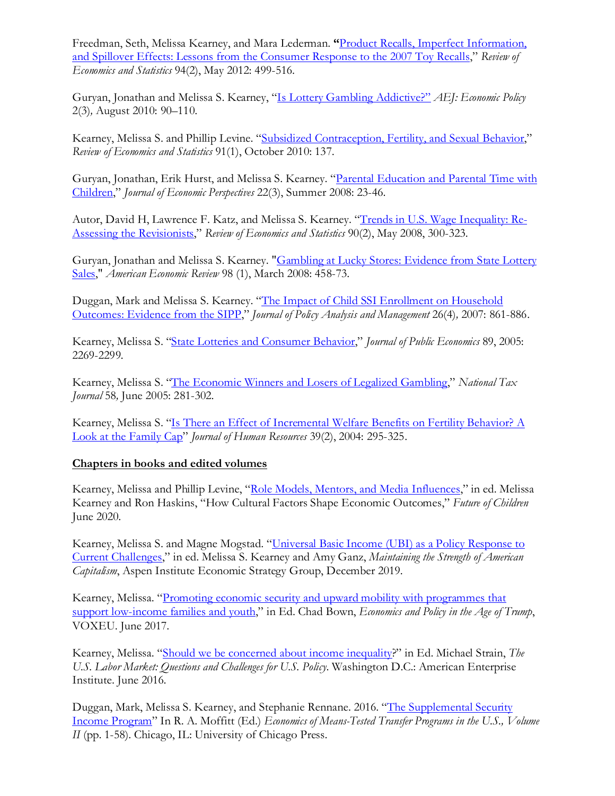Freedman, Seth, Melissa Kearney, and Mara Lederman. **"**[Product Recalls, Imperfect Information,](http://www.mitpressjournals.org/doi/pdf/10.1162/REST_a_00162)  [and Spillover Effects: Lessons from the Consumer Response to the 2007 Toy Recalls,](http://www.mitpressjournals.org/doi/pdf/10.1162/REST_a_00162)" *Review of Economics and Statistics* 94(2), May 2012: 499-516.

Guryan, Jonathan and Melissa S. Kearney, ["Is Lottery Gambling Addictive?"](https://www.aeaweb.org/articles.php?doi=10.1257/pol.2.3.90) *AEJ: Economic Policy* 2(3)*,* August 2010: 90–110.

Kearney, Melissa S. and Phillip Levine. ["Subsidized Contraception, Fertility, and Sexual Behavior,](http://www.mitpressjournals.org/doi/pdf/10.1162/rest.91.1.137)" *Review of Economics and Statistics* 91(1), October 2010: 137.

Guryan, Jonathan, Erik Hurst, and Melissa S. Kearney. ["Parental Education and Parental Time with](http://pubs.aeaweb.org/doi/pdfplus/10.1257/jep.22.3.23)  [Children,"](http://pubs.aeaweb.org/doi/pdfplus/10.1257/jep.22.3.23) *Journal of Economic Perspectives* 22(3), Summer 2008: 23-46.

Autor, David H, Lawrence F. Katz, and Melissa S. Kearney. ["Trends in U.S. Wage Inequality: Re-](http://economics.mit.edu/files/586)[Assessing the Revisionists,](http://economics.mit.edu/files/586)" *Review of Economics and Statistics* 90(2), May 2008, 300-323.

Guryan, Jonathan and Melissa S. Kearney. ["Gambling at Lucky Stores: Evidence from State Lottery](https://www.aeaweb.org/articles.php?doi=10.1257/aer.98.1.458)  [Sales,](https://www.aeaweb.org/articles.php?doi=10.1257/aer.98.1.458)" *American Economic Review* 98 (1), March 2008: 458-73.

Duggan, Mark and Melissa S. Kearney. ["The Impact of Child SSI Enrollment on Household](http://www.jstor.org/stable/pdf/30162807.pdf)  [Outcomes: Evidence from the SIPP,](http://www.jstor.org/stable/pdf/30162807.pdf)" *Journal of Policy Analysis and Management* 26(4)*,* 2007: 861-886.

Kearney, Melissa S. ["State Lotteries and Consumer Behavior,"](http://www.sciencedirect.com/science/article/pii/S0047272704001732) *Journal of Public Economics* 89, 2005: 2269-2299*.* 

Kearney, Melissa S. ["The Economic Winners and Losers of Legalized Gambling,](http://econpapers.repec.org/article/ntjjournl/v_3a58_3ay_3a2005_3ai_3a2_3ap_3a281-302.htm)" *National Tax Journal* 58*,* June 2005: 281-302.

Kearney, Melissa S. ["Is There an Effect of Incremental Welfare Benefits on Fertility Behavior? A](http://jhr.uwpress.org/content/XXXIX/2/295.full.pdf+html)  [Look at the Family Cap"](http://jhr.uwpress.org/content/XXXIX/2/295.full.pdf+html) *Journal of Human Resources* 39(2), 2004: 295-325.

#### **Chapters in books and edited volumes**

Kearney, Melissa and Phillip Levine, ["Role Models, Mentors, and Media Influences,](https://futureofchildren.princeton.edu/sites/futureofchildren/files/foc_vol_30_no_1_combined_v6.pdf)" in ed. Melissa Kearney and Ron Haskins, "How Cultural Factors Shape Economic Outcomes," *Future of Children* June 2020.

Kearney, Melissa S. and Magne Mogstad. ["Universal Basic Income \(UBI\) as a Policy Response to](https://economicstrategygroup.org/resource/universal-basic-income-ubi-as-a-policy-response-to-current-challenges/)  [Current Challenges,](https://economicstrategygroup.org/resource/universal-basic-income-ubi-as-a-policy-response-to-current-challenges/)" in ed. Melissa S. Kearney and Amy Ganz, *Maintaining the Strength of American Capitalism*, Aspen Institute Economic Strategy Group, December 2019.

Kearney, Melissa. ["Promoting economic security and upward mobility with programmes that](http://voxeu.org/content/economics-and-policy-age-trump)  [support low-income families and youth,](http://voxeu.org/content/economics-and-policy-age-trump)" in Ed. Chad Bown, *Economics and Policy in the Age of Trump*, VOXEU. June 2017.

Kearney, Melissa. ["Should we be concerned about income inequality?](http://www.aei.org/spotlight/econ-labor-should-we-be-concerned-about-income-inequality/)" in Ed. Michael Strain, *The U.S. Labor Market: Questions and Challenges for U.S. Policy*. Washington D.C.: American Enterprise Institute. June 2016.

Duggan, Mark, Melissa S. Kearney, and Stephanie Rennane. 2016. ["The Supplemental Security](http://www.press.uchicago.edu/ucp/books/book/chicago/E/bo24347989.html)  [Income Program"](http://www.press.uchicago.edu/ucp/books/book/chicago/E/bo24347989.html) In R. A. Moffitt (Ed.) *Economics of Means-Tested Transfer Programs in the U.S., Volume II* (pp. 1-58). Chicago, IL: University of Chicago Press.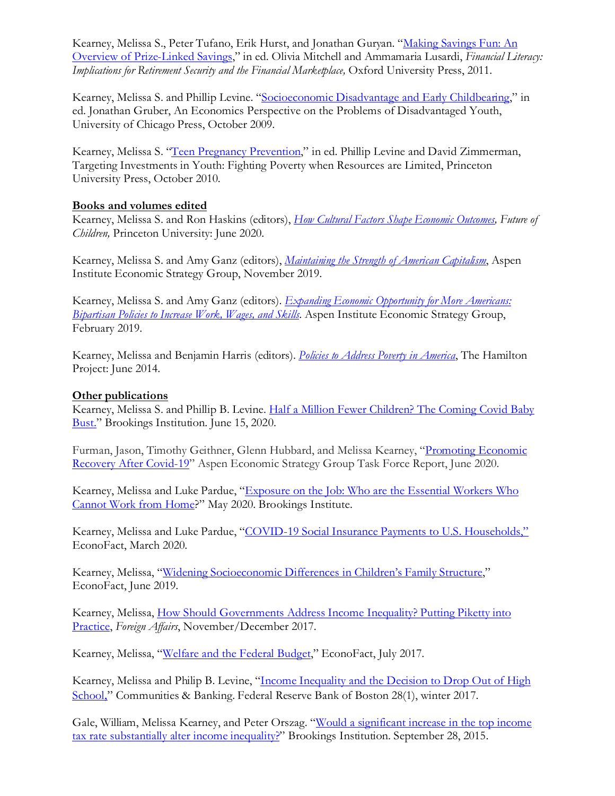Kearney, Melissa S., Peter Tufano, Erik Hurst, and Jonathan Guryan. "Making Savings Fun: An [Overview of Prize-Linked Savings,](http://www.nber.org/papers/w16433.pdf)" in ed. Olivia Mitchell and Ammamaria Lusardi, *Financial Literacy: Implications for Retirement Security and the Financial Marketplace, Oxford University Press, 2011.* 

Kearney, Melissa S. and Phillip Levine. ["Socioeconomic Disadvantage and Early Childbearing,](http://www.nber.org/papers/w13436.pdf)" in ed. Jonathan Gruber, An Economics Perspective on the Problems of Disadvantaged Youth, University of Chicago Press, October 2009.

Kearney, Melissa S. ["Teen Pregnancy Prevention,](http://press.uchicago.edu/ucp/books/book/chicago/T/bo9744193.html)" in ed. Phillip Levine and David Zimmerman, Targeting Investments in Youth: Fighting Poverty when Resources are Limited, Princeton University Press, October 2010.

#### **Books and volumes edited**

Kearney, Melissa S. and Ron Haskins (editors), *[How Cultural Factors Shape Economic Outcomes,](https://futureofchildren.princeton.edu/sites/futureofchildren/files/foc_vol_30_no_1_combined_v6.pdf) Future of Children,* Princeton University: June 2020.

Kearney, Melissa S. and Amy Ganz (editors), *[Maintaining the Strength of American Capitalism](https://economicstrategygroup.org/resource/maintaining-the-strength-of-american-capitalism/)*, Aspen Institute Economic Strategy Group, November 2019.

Kearney, Melissa S. and Amy Ganz (editors). *[Expanding Economic Opportunity for More Americans:](https://assets.aspeninstitute.org/content/uploads/2019/01/ESG_Report_Expanding-Economic-Opportunity-for-More-Americans.pdf?_ga=2.77924052.1522700860.1552327254-1274438745.1537820442)  [Bipartisan Policies to Increase Work, Wages, and Skills](https://assets.aspeninstitute.org/content/uploads/2019/01/ESG_Report_Expanding-Economic-Opportunity-for-More-Americans.pdf?_ga=2.77924052.1522700860.1552327254-1274438745.1537820442)*. Aspen Institute Economic Strategy Group, February 2019.

Kearney, Melissa and Benjamin Harris (editors). *[Policies to Address Poverty in America](http://www.hamiltonproject.org/assets/files/policies_address_poverty_in_america_full_book.pdf)*, The Hamilton Project: June 2014.

#### **Other publications**

Kearney, Melissa S. and Phillip B. Levine. [Half a Million Fewer Children? The Coming Covid Baby](https://www.brookings.edu/research/half-a-million-fewer-children-the-coming-covid-baby-bust)  [Bust."](https://www.brookings.edu/research/half-a-million-fewer-children-the-coming-covid-baby-bust) Brookings Institution. June 15, 2020.

Furman, Jason, Timothy Geithner, Glenn Hubbard, and Melissa Kearney, ["Promoting Economic](https://www.economicstrategygroup.org/publication/promoting-economic-recovery-after-covid-19/)  [Recovery After Covid-19"](https://www.economicstrategygroup.org/publication/promoting-economic-recovery-after-covid-19/) Aspen Economic Strategy Group Task Force Report, June 2020.

Kearney, Melissa and Luke Pardue, ["Exposure on the Job: Who are the Essential Workers Who](https://www.brookings.edu/research/exposure-on-the-job/)  [Cannot Work from Home?](https://www.brookings.edu/research/exposure-on-the-job/)" May 2020. Brookings Institute.

Kearney, Melissa and Luke Pardue, ["COVID-19 Social Insurance Payments to U.S. Households,"](https://econofact.org/covid-19-social-insurance-payments-to-u-s-households) EconoFact, March 2020.

Kearney, Melissa, ["Widening Socioeconomic Differences in Children's Family Structure,](https://econofact.org/tag/family-structure)" EconoFact, June 2019.

Kearney, Melissa, [How Should Governments Address Income Inequality? Putting Piketty into](https://www.foreignaffairs.com/reviews/review-essay/2017-10-16/how-should-governments-address-inequality)  [Practice,](https://www.foreignaffairs.com/reviews/review-essay/2017-10-16/how-should-governments-address-inequality) *Foreign Affairs*, November/December 2017.

Kearney, Melissa, ["Welfare and the Federal Budget,](https://econofact.org/welfare-and-the-federal-budget)" EconoFact, July 2017.

Kearney, Melissa and Philip B. Levine, ["Income Inequality and the Decision to Drop Out of High](https://www.bostonfed.org/publications/communities-and-banking/2017/winter/income-inequality-and-the-decision-to-drop-out-of-high-school.aspx)  [School](https://www.bostonfed.org/publications/communities-and-banking/2017/winter/income-inequality-and-the-decision-to-drop-out-of-high-school.aspx)," Communities & Banking. Federal Reserve Bank of Boston 28(1), winter 2017.

Gale, William, Melissa Kearney, and Peter Orszag. ["Would a significant increase in the top income](http://www.brookings.edu/%7E/media/research/files/papers/2015/09/28-taxes-inequality/would-top-income-tax-alter-income-inequality.pdf)  [tax rate substantially alter income inequality?"](http://www.brookings.edu/%7E/media/research/files/papers/2015/09/28-taxes-inequality/would-top-income-tax-alter-income-inequality.pdf) Brookings Institution. September 28, 2015.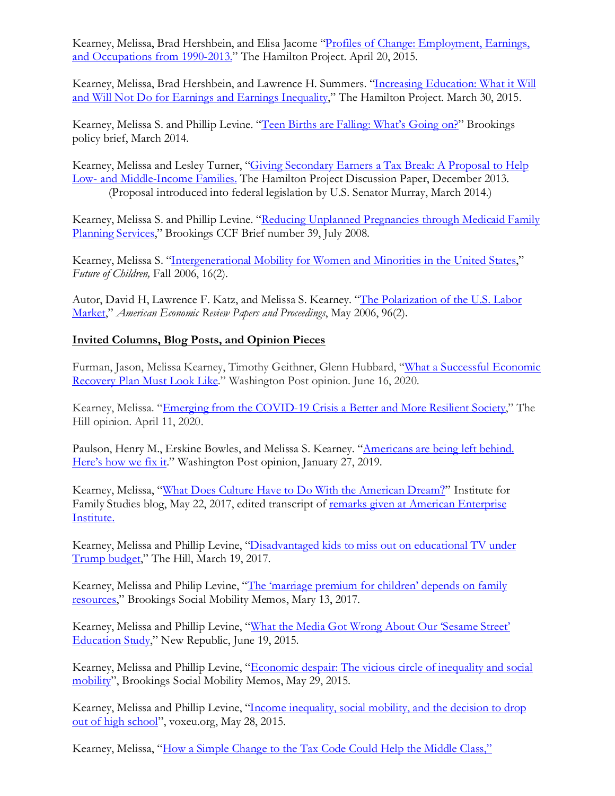Kearney, Melissa, Brad Hershbein, and Elisa Jacome "Profiles of Change: Employment, Earnings, [and Occupations from 1990-2013."](http://www.brookings.edu/blogs/up-front/posts/2015/04/21-employment-earnings-occupations-profiles-from-1990-to-2013-kearney-hershbein) The Hamilton Project. April 20, 2015.

Kearney, Melissa, Brad Hershbein, and Lawrence H. Summers. "Increasing Education: What it Will [and Will Not Do for Earnings and Earnings Inequality,](http://www.hamiltonproject.org/assets/legacy/files/downloads_and_links/impact_of_edu_earnings_inequality_hershbein_kearney_summers.pdf)" The Hamilton Project. March 30, 2015.

Kearney, Melissa S. and Phillip Levine. ["Teen Births are Falling: What's Going on?"](http://www.brookings.edu/%7E/media/research/files/reports/2014/03/teen-births-falling-whats-going-on-kearney-levine/teen_births_falling_whats_going_on_kearney_levine.pdf) Brookings policy brief, March 2014.

Kearney, Melissa and Lesley Turner, ["Giving Secondary Earners a Tax Break: A Proposal to Help](http://www.hamiltonproject.org/assets/legacy/files/downloads_and_links/THP_Kearney_DiscPaper_Final.pdf)  Low- [and Middle-Income Families.](http://www.hamiltonproject.org/assets/legacy/files/downloads_and_links/THP_Kearney_DiscPaper_Final.pdf) The Hamilton Project Discussion Paper, December 2013. (Proposal introduced into federal legislation by U.S. Senator Murray, March 2014.)

Kearney, Melissa S. and Phillip Levine. ["Reducing Unplanned Pregnancies through Medicaid Family](http://www.brookings.edu/%7E/media/research/files/papers/2008/7/reducing-pregnancy-kearney/07_reducing_pregnancy_kearney.pdf)  [Planning Services,](http://www.brookings.edu/%7E/media/research/files/papers/2008/7/reducing-pregnancy-kearney/07_reducing_pregnancy_kearney.pdf)" Brookings CCF Brief number 39, July 2008.

Kearney, Melissa S. "Intergenerational Mobility for [Women and Minorities in the United States,](http://www.jstor.org/stable/3844790)" *Future of Children,* Fall 2006, 16(2).

Autor, David H, Lawrence F. Katz, and Melissa S. Kearney. ["The Polarization of the U.S. Labor](https://www.aeaweb.org/articles.php?doi=10.1257/000282806777212620)  [Market,](https://www.aeaweb.org/articles.php?doi=10.1257/000282806777212620)" *American Economic Review Papers and Proceedings*, May 2006, 96(2).

### **Invited Columns, Blog Posts, and Opinion Pieces**

Furman, Jason, Melissa Kearney, Timothy Geithner, Glenn Hubbard, ["What a Successful Economic](https://www.washingtonpost.com/opinions/2020/06/16/what-successful-economic-recovery-plan-must-look-like/)  [Recovery Plan Must Look Like.](https://www.washingtonpost.com/opinions/2020/06/16/what-successful-economic-recovery-plan-must-look-like/)" Washington Post opinion. June 16, 2020.

Kearney, Melissa. ["Emerging from the COVID-19 Crisis a Better and More Resilient Society,](https://thehill.com/opinion/finance/492280-emerging-from-the-covid-19-crisis-as-a-better-and-more-resilient-society)" The Hill opinion. April 11, 2020.

Paulson, Henry M., Erskine Bowles, and Melissa S. Kearney. ["Americans are being left behind.](https://www.washingtonpost.com/opinions/americans-are-being-left-behind-heres-how-we-fix-it/2019/01/27/073d8528-1f3b-11e9-8e21-59a09ff1e2a1_story.html?utm_term=.20cd12e01c55) [Here's how we fix it.](https://www.washingtonpost.com/opinions/americans-are-being-left-behind-heres-how-we-fix-it/2019/01/27/073d8528-1f3b-11e9-8e21-59a09ff1e2a1_story.html?utm_term=.20cd12e01c55)" Washington Post opinion, January 27, 2019.

Kearney, Melissa, ["What Does Culture Have to Do With](https://ifstudies.org/blog/what-does-culture-have-to-do-with-the-american-dream) the American Dream?" Institute for Family Studies blog, May 22, 2017, edited transcript of remarks given at American Enterprise [Institute](http://www.aei.org/events/improving-economic-opportunity-in-america-a-discussion-with-raj-chetty/).

Kearney, Melissa and Phillip Levine, ["Disadvantaged kids to miss out on educational TV under](http://thehill.com/blogs/pundits-blog/education/324705-low-income-kids-to-miss-educational-tv-under-trump-budget)  [Trump budget,](http://thehill.com/blogs/pundits-blog/education/324705-low-income-kids-to-miss-educational-tv-under-trump-budget)" The Hill, March 19, 2017.

Kearney, Melissa and Philip Levine, ["The 'marriage premium for children' depends on family](https://www.brookings.edu/blog/social-mobility-memos/2017/03/13/the-marriage-premium-for-children-depends-on-family-resources/)  [resources,](https://www.brookings.edu/blog/social-mobility-memos/2017/03/13/the-marriage-premium-for-children-depends-on-family-resources/)" Brookings Social Mobility Memos, Mary 13, 2017.

Kearney, Melissa and Phillip Levine, ["What the Media Got Wrong About Our 'Sesame Street'](https://newrepublic.com/article/122084/what-media-got-wrong-about-our-sesame-street-education-study)  [Education Study,](https://newrepublic.com/article/122084/what-media-got-wrong-about-our-sesame-street-education-study)" New Republic, June 19, 2015.

Kearney, Melissa and Phillip Levine, ["Economic despair: The vicious circle of inequality and social](http://www.brookings.edu/blogs/social-mobility-memos/posts/2015/05/29-despair-great-gatsby-curve-kearney-levine)  [mobility"](http://www.brookings.edu/blogs/social-mobility-memos/posts/2015/05/29-despair-great-gatsby-curve-kearney-levine), Brookings Social Mobility Memos, May 29, 2015.

Kearney, Melissa and Phillip Levine, ["Income inequality, social mobility, and the decision to drop](http://www.voxeu.org/article/high-school-dropout-rates-increase-income-inequality)  [out of high school"](http://www.voxeu.org/article/high-school-dropout-rates-increase-income-inequality), voxeu.org, May 28, 2015.

Kearney, Melissa, ["How a Simple Change to the Tax Code Could Help the Middle Class,"](https://www.washingtonpost.com/news/storyline/wp/2014/12/24/how-a-simple-change-to-the-tax-code-could-help-the-middle-class/)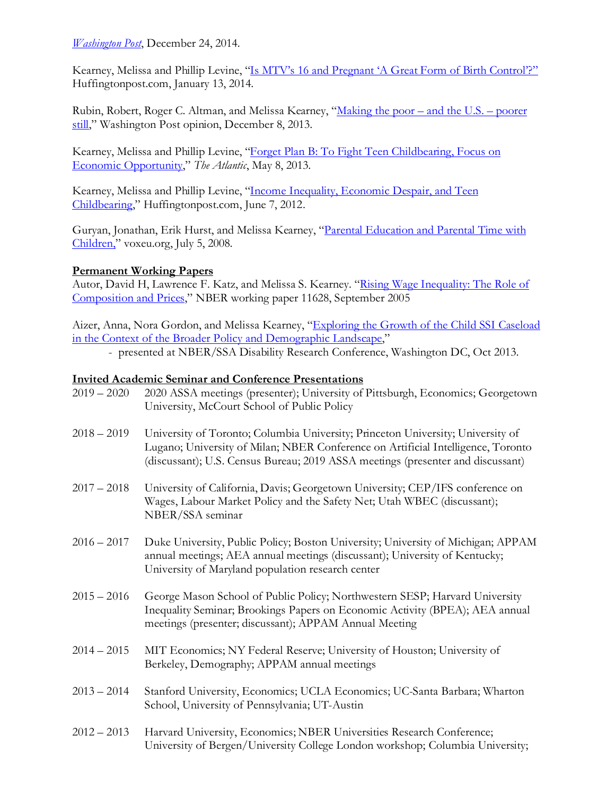### *[Washington Post](https://www.washingtonpost.com/news/storyline/wp/2014/12/24/how-a-simple-change-to-the-tax-code-could-help-the-middle-class/)*, December 24, 2014.

Kearney, Melissa and Phillip Levine, ["Is MTV's 16 and Pregnant 'A Great Form of Birth Control'?"](http://www.huffingtonpost.com/melissa-s-kearney/is-mtvs-16-and-pregnant-a-great-form-of-birth-control_b_4588978.html) Huffingtonpost.com, January 13, 2014.

Rubin, Robert, Roger C. Altman, and Melissa Kearney, ["Making the poor –](https://www.washingtonpost.com/opinions/making-the-poor--and-the-us--poorer-still/2013/12/08/cda50c26-5dd1-11e3-95c2-13623eb2b0e1_story.html?utm_term=.5a75e1c2ac69) and the U.S. – poorer [still,](https://www.washingtonpost.com/opinions/making-the-poor--and-the-us--poorer-still/2013/12/08/cda50c26-5dd1-11e3-95c2-13623eb2b0e1_story.html?utm_term=.5a75e1c2ac69)" Washington Post opinion, December 8, 2013.

Kearney, Melissa and Phillip Levine, ["Forget Plan B: To Fight Teen Childbearing, Focus on](http://www.theatlantic.com/business/archive/2013/05/forget-plan-b-to-fight-teen-pregnancy-focus-on-economic-opportunity/275623/)  [Economic Opportunity,](http://www.theatlantic.com/business/archive/2013/05/forget-plan-b-to-fight-teen-pregnancy-focus-on-economic-opportunity/275623/)" *The Atlantic*, May 8, 2013.

Kearney, Melissa and Phillip Levine, ["Income Inequality, Economic Despair, and Teen](http://www.huffingtonpost.com/phillip-b-levine/teen-pregnancy-income-inequality-_b_1578430.html)  [Childbearing,](http://www.huffingtonpost.com/phillip-b-levine/teen-pregnancy-income-inequality-_b_1578430.html)" Huffingtonpost.com, June 7, 2012.

Guryan, Jonathan, Erik Hurst, and Melissa Kearney, ["Parental Education and Parental Time with](http://www.voxeu.org/article/time-kids-parental-education-and-child-care)  [Children,"](http://www.voxeu.org/article/time-kids-parental-education-and-child-care) voxeu.org, July 5, 2008.

# **Permanent Working Papers**

Autor, David H, Lawrence F. Katz, and Melissa S. Kearney. "Rising Wage Inequality: The Role of [Composition and Prices,](http://www.nber.org/papers/w11628.pdf)" NBER working paper 11628, September 2005

Aizer, Anna, Nora Gordon, and Melissa Kearney, "Exploring the Growth [of the Child SSI Caseload](http://www.nber.org/aging/drc/papers/odrc13-02.pdf)  [in the Context of the Broader Policy and Demographic Landscape,"](http://www.nber.org/aging/drc/papers/odrc13-02.pdf)

- presented at NBER/SSA Disability Research Conference, Washington DC, Oct 2013.

### **Invited Academic Seminar and Conference Presentations**

| $2019 - 2020$ | 2020 ASSA meetings (presenter); University of Pittsburgh, Economics; Georgetown<br>University, McCourt School of Public Policy                                                                                                                         |
|---------------|--------------------------------------------------------------------------------------------------------------------------------------------------------------------------------------------------------------------------------------------------------|
| $2018 - 2019$ | University of Toronto; Columbia University; Princeton University; University of<br>Lugano; University of Milan; NBER Conference on Artificial Intelligence, Toronto<br>(discussant); U.S. Census Bureau; 2019 ASSA meetings (presenter and discussant) |
| $2017 - 2018$ | University of California, Davis; Georgetown University; CEP/IFS conference on<br>Wages, Labour Market Policy and the Safety Net; Utah WBEC (discussant);<br>NBER/SSA seminar                                                                           |
| $2016 - 2017$ | Duke University, Public Policy; Boston University; University of Michigan; APPAM<br>annual meetings; AEA annual meetings (discussant); University of Kentucky;<br>University of Maryland population research center                                    |
| $2015 - 2016$ | George Mason School of Public Policy; Northwestern SESP; Harvard University<br>Inequality Seminar; Brookings Papers on Economic Activity (BPEA); AEA annual<br>meetings (presenter; discussant); APPAM Annual Meeting                                  |
| $2014 - 2015$ | MIT Economics; NY Federal Reserve; University of Houston; University of<br>Berkeley, Demography; APPAM annual meetings                                                                                                                                 |
| $2013 - 2014$ | Stanford University, Economics; UCLA Economics; UC-Santa Barbara; Wharton<br>School, University of Pennsylvania; UT-Austin                                                                                                                             |
| $2012 - 2013$ | Harvard University, Economics; NBER Universities Research Conference;<br>University of Bergen/University College London workshop; Columbia University;                                                                                                 |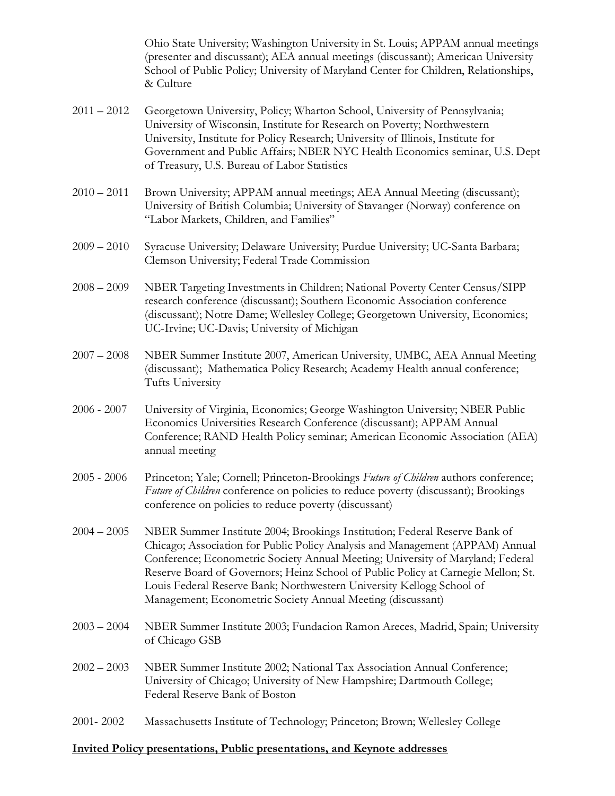Ohio State University; Washington University in St. Louis; APPAM annual meetings (presenter and discussant); AEA annual meetings (discussant); American University School of Public Policy; University of Maryland Center for Children, Relationships, & Culture

- 2011 2012 Georgetown University, Policy; Wharton School, University of Pennsylvania; University of Wisconsin, Institute for Research on Poverty; Northwestern University, Institute for Policy Research; University of Illinois, Institute for Government and Public Affairs; NBER NYC Health Economics seminar, U.S. Dept of Treasury, U.S. Bureau of Labor Statistics
- 2010 2011 Brown University; APPAM annual meetings; AEA Annual Meeting (discussant); University of British Columbia; University of Stavanger (Norway) conference on "Labor Markets, Children, and Families"
- 2009 2010 Syracuse University; Delaware University; Purdue University; UC-Santa Barbara; Clemson University; Federal Trade Commission
- 2008 2009 NBER Targeting Investments in Children; National Poverty Center Census/SIPP research conference (discussant); Southern Economic Association conference (discussant); Notre Dame; Wellesley College; Georgetown University, Economics; UC-Irvine; UC-Davis; University of Michigan
- 2007 2008 NBER Summer Institute 2007, American University, UMBC, AEA Annual Meeting (discussant); Mathematica Policy Research; Academy Health annual conference; Tufts University
- 2006 2007 University of Virginia, Economics; George Washington University; NBER Public Economics Universities Research Conference (discussant); APPAM Annual Conference; RAND Health Policy seminar; American Economic Association (AEA) annual meeting
- 2005 2006 Princeton; Yale; Cornell; Princeton-Brookings *Future of Children* authors conference; *Future of Children* conference on policies to reduce poverty (discussant); Brookings conference on policies to reduce poverty (discussant)
- 2004 2005 NBER Summer Institute 2004; Brookings Institution; Federal Reserve Bank of Chicago; Association for Public Policy Analysis and Management (APPAM) Annual Conference; Econometric Society Annual Meeting; University of Maryland; Federal Reserve Board of Governors; Heinz School of Public Policy at Carnegie Mellon; St. Louis Federal Reserve Bank; Northwestern University Kellogg School of Management; Econometric Society Annual Meeting (discussant)
- 2003 2004 NBER Summer Institute 2003; Fundacion Ramon Areces, Madrid, Spain; University of Chicago GSB
- 2002 2003 NBER Summer Institute 2002; National Tax Association Annual Conference; University of Chicago; University of New Hampshire; Dartmouth College; Federal Reserve Bank of Boston
- 2001- 2002 Massachusetts Institute of Technology; Princeton; Brown; Wellesley College

#### **Invited Policy presentations, Public presentations, and Keynote addresses**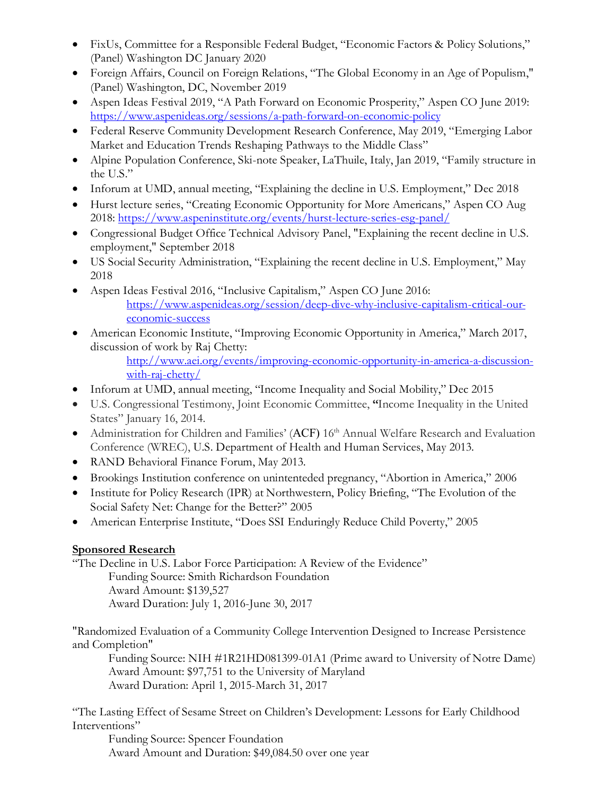- FixUs, Committee for a Responsible Federal Budget, "Economic Factors & Policy Solutions," (Panel) Washington DC January 2020
- Foreign Affairs, Council on Foreign Relations, "The Global Economy in an Age of Populism," (Panel) Washington, DC, November 2019
- Aspen Ideas Festival 2019, "A Path Forward on Economic Prosperity," Aspen CO June 2019: <https://www.aspenideas.org/sessions/a-path-forward-on-economic-policy>
- Federal Reserve Community Development Research Conference, May 2019, "Emerging Labor Market and Education Trends Reshaping Pathways to the Middle Class"
- Alpine Population Conference, Ski-note Speaker, LaThuile, Italy, Jan 2019, "Family structure in the U.S."
- Inforum at UMD, annual meeting, "Explaining the decline in U.S. Employment," Dec 2018
- Hurst lecture series, "Creating Economic Opportunity for More Americans," Aspen CO Aug 2018: <https://www.aspeninstitute.org/events/hurst-lecture-series-esg-panel/>
- Congressional Budget Office Technical Advisory Panel, "Explaining the recent decline in U.S. employment," September 2018
- US Social Security Administration, "Explaining the recent decline in U.S. Employment," May 2018
- Aspen Ideas Festival 2016, "Inclusive Capitalism," Aspen CO June 2016: [https://www.aspenideas.org/session/deep-dive-why-inclusive-capitalism-critical-our](https://www.aspenideas.org/session/deep-dive-why-inclusive-capitalism-critical-our-economic-success)[economic-success](https://www.aspenideas.org/session/deep-dive-why-inclusive-capitalism-critical-our-economic-success)
- American Economic Institute, "Improving Economic Opportunity in America," March 2017, discussion of work by Raj Chetty:

[http://www.aei.org/events/improving-economic-opportunity-in-america-a-discussion](http://www.aei.org/events/improving-economic-opportunity-in-america-a-discussion-with-raj-chetty/)[with-raj-chetty/](http://www.aei.org/events/improving-economic-opportunity-in-america-a-discussion-with-raj-chetty/)

- Inforum at UMD, annual meeting, "Income Inequality and Social Mobility," Dec 2015
- U.S. Congressional Testimony, Joint Economic Committee, **"**Income Inequality in the United States" January 16, 2014.
- Administration for Children and Families' (ACF) 16<sup>th</sup> Annual Welfare Research and Evaluation Conference (WREC), U.S. Department of Health and Human Services, May 2013.
- RAND Behavioral Finance Forum, May 2013.
- Brookings Institution conference on unintenteded pregnancy, "Abortion in America," 2006
- Institute for Policy Research (IPR) at Northwestern, Policy Briefing, "The Evolution of the Social Safety Net: Change for the Better?" 2005
- American Enterprise Institute, "Does SSI Enduringly Reduce Child Poverty," 2005

# **Sponsored Research**

"The Decline in U.S. Labor Force Participation: A Review of the Evidence"

Funding Source: Smith Richardson Foundation Award Amount: \$139,527

Award Duration: July 1, 2016-June 30, 2017

"Randomized Evaluation of a Community College Intervention Designed to Increase Persistence and Completion"

Funding Source: NIH #1R21HD081399-01A1 (Prime award to University of Notre Dame) Award Amount: \$97,751 to the University of Maryland Award Duration: April 1, 2015-March 31, 2017

"The Lasting Effect of Sesame Street on Children's Development: Lessons for Early Childhood Interventions"

Funding Source: Spencer Foundation Award Amount and Duration: \$49,084.50 over one year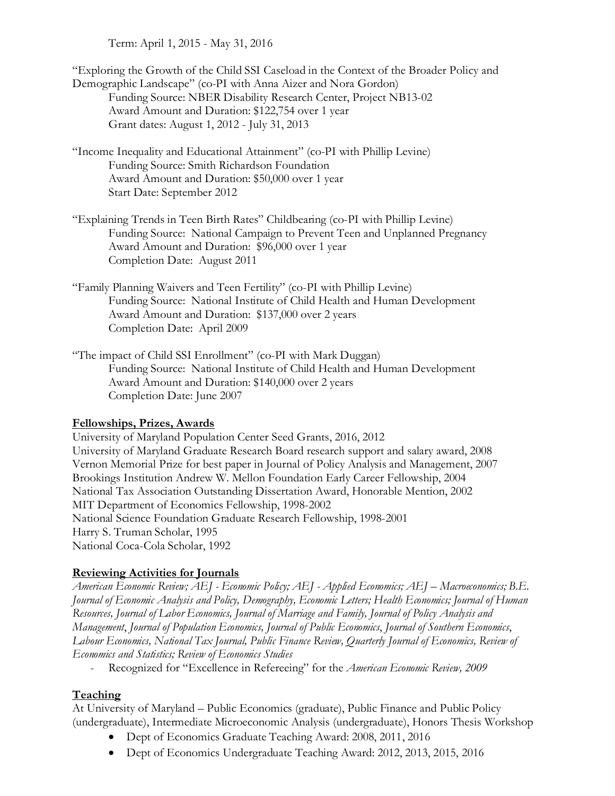Term: April 1, 2015 - May 31, 2016

"Exploring the Growth of the Child SSI Caseload in the Context of the Broader Policy and Demographic Landscape" (co-PI with Anna Aizer and Nora Gordon) Funding Source: NBER Disability Research Center, Project NB13-02 Award Amount and Duration: \$122,754 over 1 year Grant dates: August 1, 2012 - July 31, 2013

"Income Inequality and Educational Attainment" (co-PI with Phillip Levine) Funding Source: Smith Richardson Foundation Award Amount and Duration: \$50,000 over 1 year Start Date: September 2012

"Explaining Trends in Teen Birth Rates" Childbearing (co-PI with Phillip Levine) Funding Source: National Campaign to Prevent Teen and Unplanned Pregnancy Award Amount and Duration: \$96,000 over 1 year Completion Date: August 2011

"Family Planning Waivers and Teen Fertility" (co-PI with Phillip Levine) Funding Source: National Institute of Child Health and Human Development Award Amount and Duration: \$137,000 over 2 years Completion Date: April 2009

"The impact of Child SSI Enrollment" (co-PI with Mark Duggan) Funding Source: National Institute of Child Health and Human Development Award Amount and Duration: \$140,000 over 2 years Completion Date: June 2007

# **Fellowships, Prizes, Awards**

University of Maryland Population Center Seed Grants, 2016, 2012 University of Maryland Graduate Research Board research support and salary award, 2008 Vernon Memorial Prize for best paper in Journal of Policy Analysis and Management, 2007 Brookings Institution Andrew W. Mellon Foundation Early Career Fellowship, 2004 National Tax Association Outstanding Dissertation Award, Honorable Mention, 2002 MIT Department of Economics Fellowship, 1998-2002 National Science Foundation Graduate Research Fellowship, 1998-2001 Harry S. Truman Scholar, 1995 National Coca-Cola Scholar, 1992

# **Reviewing Activities for Journals**

*American Economic Review; AEJ - Economic Policy; AEJ - Applied Economics; AEJ – Macroeconomics; B.E. Journal of Economic Analysis and Policy, Demography, Economic Letters; Health Economics; Journal of Human Resources, Journal of Labor Economics, Journal of Marriage and Family, Journal of Policy Analysis and Management*, *Journal of Population Economics, Journal of Public Economics*, *Journal of Southern Economics*, *Labour Economics, National Tax Journal, Public Finance Review, Quarterly Journal of Economics, Review of Economics and Statistics; Review of Economics Studies* 

- Recognized for "Excellence in Refereeing" for the *American Economic Review, 2009*

# **Teaching**

At University of Maryland – Public Economics (graduate), Public Finance and Public Policy (undergraduate), Intermediate Microeconomic Analysis (undergraduate), Honors Thesis Workshop

- Dept of Economics Graduate Teaching Award: 2008, 2011, 2016
- Dept of Economics Undergraduate Teaching Award: 2012, 2013, 2015, 2016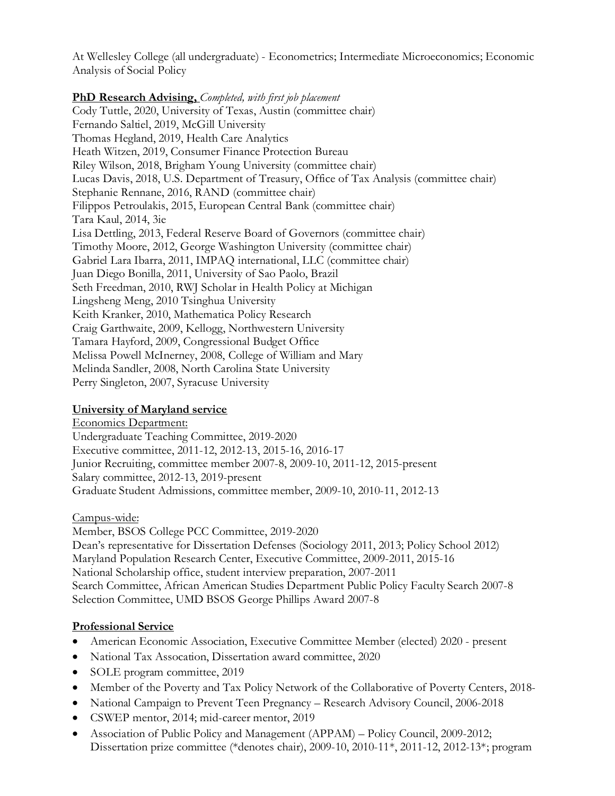At Wellesley College (all undergraduate) - Econometrics; Intermediate Microeconomics; Economic Analysis of Social Policy

### **PhD Research Advising,** *Completed, with first job placement*

Cody Tuttle, 2020, University of Texas, Austin (committee chair) Fernando Saltiel, 2019, McGill University Thomas Hegland, 2019, Health Care Analytics Heath Witzen, 2019, Consumer Finance Protection Bureau Riley Wilson, 2018, Brigham Young University (committee chair) Lucas Davis, 2018, U.S. Department of Treasury, Office of Tax Analysis (committee chair) Stephanie Rennane, 2016, RAND (committee chair) Filippos Petroulakis, 2015, European Central Bank (committee chair) Tara Kaul, 2014, 3ie Lisa Dettling, 2013, Federal Reserve Board of Governors (committee chair) Timothy Moore, 2012, George Washington University (committee chair) Gabriel Lara Ibarra, 2011, IMPAQ international, LLC (committee chair) Juan Diego Bonilla, 2011, University of Sao Paolo, Brazil Seth Freedman, 2010, RWJ Scholar in Health Policy at Michigan Lingsheng Meng, 2010 Tsinghua University Keith Kranker, 2010, Mathematica Policy Research Craig Garthwaite, 2009, Kellogg, Northwestern University Tamara Hayford, 2009, Congressional Budget Office Melissa Powell McInerney, 2008, College of William and Mary Melinda Sandler, 2008, North Carolina State University Perry Singleton, 2007, Syracuse University

# **University of Maryland service**

Economics Department: Undergraduate Teaching Committee, 2019-2020 Executive committee, 2011-12, 2012-13, 2015-16, 2016-17 Junior Recruiting, committee member 2007-8, 2009-10, 2011-12, 2015-present Salary committee, 2012-13, 2019-present Graduate Student Admissions, committee member, 2009-10, 2010-11, 2012-13

Campus-wide:

Member, BSOS College PCC Committee, 2019-2020 Dean's representative for Dissertation Defenses (Sociology 2011, 2013; Policy School 2012) Maryland Population Research Center, Executive Committee, 2009-2011, 2015-16 National Scholarship office, student interview preparation, 2007-2011 Search Committee, African American Studies Department Public Policy Faculty Search 2007-8 Selection Committee, UMD BSOS George Phillips Award 2007-8

# **Professional Service**

- American Economic Association, Executive Committee Member (elected) 2020 present
- National Tax Assocation, Dissertation award committee, 2020
- SOLE program committee, 2019
- Member of the Poverty and Tax Policy Network of the Collaborative of Poverty Centers, 2018-
- National Campaign to Prevent Teen Pregnancy Research Advisory Council, 2006-2018
- CSWEP mentor, 2014; mid-career mentor, 2019
- Association of Public Policy and Management (APPAM) Policy Council, 2009-2012; Dissertation prize committee (\*denotes chair), 2009-10, 2010-11\*, 2011-12, 2012-13\*; program